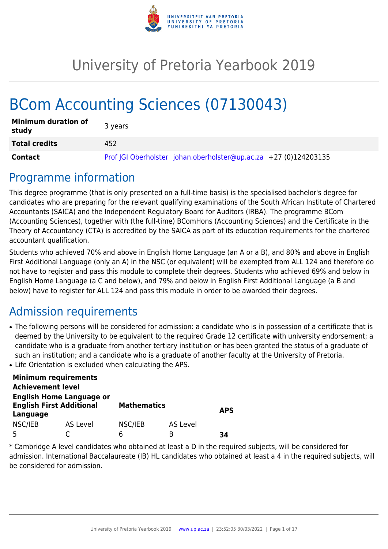

# University of Pretoria Yearbook 2019

# BCom Accounting Sciences (07130043)

| <b>Minimum duration of</b><br>study | 3 years                                                          |
|-------------------------------------|------------------------------------------------------------------|
| <b>Total credits</b>                | 452                                                              |
| <b>Contact</b>                      | Prof JGI Oberholster johan.oberholster@up.ac.za +27 (0)124203135 |

## Programme information

This degree programme (that is only presented on a full-time basis) is the specialised bachelor's degree for candidates who are preparing for the relevant qualifying examinations of the South African Institute of Chartered Accountants (SAICA) and the Independent Regulatory Board for Auditors (IRBA). The programme BCom (Accounting Sciences), together with (the full-time) BComHons (Accounting Sciences) and the Certificate in the Theory of Accountancy (CTA) is accredited by the SAICA as part of its education requirements for the chartered accountant qualification.

Students who achieved 70% and above in English Home Language (an A or a B), and 80% and above in English First Additional Language (only an A) in the NSC (or equivalent) will be exempted from ALL 124 and therefore do not have to register and pass this module to complete their degrees. Students who achieved 69% and below in English Home Language (a C and below), and 79% and below in English First Additional Language (a B and below) have to register for ALL 124 and pass this module in order to be awarded their degrees.

## Admission requirements

- The following persons will be considered for admission: a candidate who is in possession of a certificate that is deemed by the University to be equivalent to the required Grade 12 certificate with university endorsement; a candidate who is a graduate from another tertiary institution or has been granted the status of a graduate of such an institution; and a candidate who is a graduate of another faculty at the University of Pretoria.
- Life Orientation is excluded when calculating the APS.

| <b>Minimum requirements</b>                 |                                 |                    |          |            |
|---------------------------------------------|---------------------------------|--------------------|----------|------------|
| <b>Achievement level</b>                    |                                 |                    |          |            |
| <b>English First Additional</b><br>Language | <b>English Home Language or</b> | <b>Mathematics</b> |          | <b>APS</b> |
| NSC/IEB                                     | AS Level                        | NSC/IEB            | AS Level |            |
| Б,                                          |                                 | რ                  | B        | 34         |

\* Cambridge A level candidates who obtained at least a D in the required subjects, will be considered for admission. International Baccalaureate (IB) HL candidates who obtained at least a 4 in the required subjects, will be considered for admission.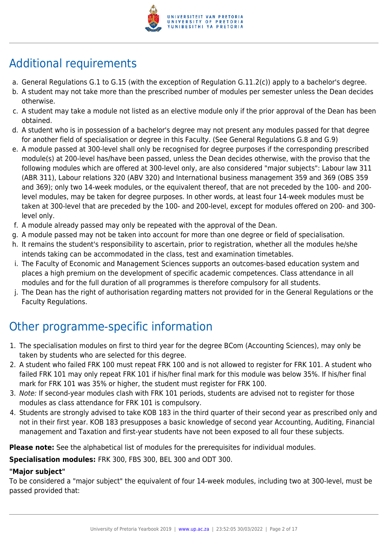

## Additional requirements

- a. General Regulations G.1 to G.15 (with the exception of Regulation G.11.2(c)) apply to a bachelor's degree.
- b. A student may not take more than the prescribed number of modules per semester unless the Dean decides otherwise.
- c. A student may take a module not listed as an elective module only if the prior approval of the Dean has been obtained.
- d. A student who is in possession of a bachelor's degree may not present any modules passed for that degree for another field of specialisation or degree in this Faculty. (See General Regulations G.8 and G.9)
- e. A module passed at 300-level shall only be recognised for degree purposes if the corresponding prescribed module(s) at 200-level has/have been passed, unless the Dean decides otherwise, with the proviso that the following modules which are offered at 300-level only, are also considered "major subjects": Labour law 311 (ABR 311), Labour relations 320 (ABV 320) and International business management 359 and 369 (OBS 359 and 369); only two 14-week modules, or the equivalent thereof, that are not preceded by the 100- and 200 level modules, may be taken for degree purposes. In other words, at least four 14-week modules must be taken at 300-level that are preceded by the 100- and 200-level, except for modules offered on 200- and 300 level only.
- f. A module already passed may only be repeated with the approval of the Dean.
- g. A module passed may not be taken into account for more than one degree or field of specialisation.
- h. It remains the student's responsibility to ascertain, prior to registration, whether all the modules he/she intends taking can be accommodated in the class, test and examination timetables.
- i. The Faculty of Economic and Management Sciences supports an outcomes-based education system and places a high premium on the development of specific academic competences. Class attendance in all modules and for the full duration of all programmes is therefore compulsory for all students.
- j. The Dean has the right of authorisation regarding matters not provided for in the General Regulations or the Faculty Regulations.

## Other programme-specific information

- 1. The specialisation modules on first to third year for the degree BCom (Accounting Sciences), may only be taken by students who are selected for this degree.
- 2. A student who failed FRK 100 must repeat FRK 100 and is not allowed to register for FRK 101. A student who failed FRK 101 may only repeat FRK 101 if his/her final mark for this module was below 35%. If his/her final mark for FRK 101 was 35% or higher, the student must register for FRK 100.
- 3. Note: If second-year modules clash with FRK 101 periods, students are advised not to register for those modules as class attendance for FRK 101 is compulsory.
- 4. Students are strongly advised to take KOB 183 in the third quarter of their second year as prescribed only and not in their first year. KOB 183 presupposes a basic knowledge of second year Accounting, Auditing, Financial management and Taxation and first-year students have not been exposed to all four these subjects.

**Please note:** See the alphabetical list of modules for the prerequisites for individual modules.

**Specialisation modules:** FRK 300, FBS 300, BEL 300 and ODT 300.

### **"Major subject"**

To be considered a "major subject" the equivalent of four 14-week modules, including two at 300-level, must be passed provided that: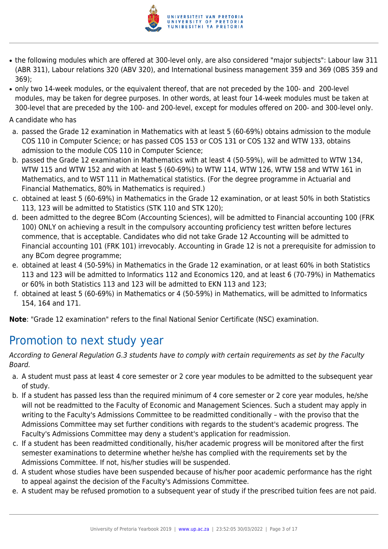

- the following modules which are offered at 300-level only, are also considered "major subjects": Labour law 311 (ABR 311), Labour relations 320 (ABV 320), and International business management 359 and 369 (OBS 359 and 369);
- only two 14-week modules, or the equivalent thereof, that are not preceded by the 100- and 200-level modules, may be taken for degree purposes. In other words, at least four 14-week modules must be taken at 300-level that are preceded by the 100- and 200-level, except for modules offered on 200- and 300-level only.

A candidate who has

- a. passed the Grade 12 examination in Mathematics with at least 5 (60-69%) obtains admission to the module COS 110 in Computer Science; or has passed COS 153 or COS 131 or COS 132 and WTW 133, obtains admission to the module COS 110 in Computer Science;
- b. passed the Grade 12 examination in Mathematics with at least 4 (50-59%), will be admitted to WTW 134, WTW 115 and WTW 152 and with at least 5 (60-69%) to WTW 114, WTW 126, WTW 158 and WTW 161 in Mathematics, and to WST 111 in Mathematical statistics. (For the degree programme in Actuarial and Financial Mathematics, 80% in Mathematics is required.)
- c. obtained at least 5 (60-69%) in Mathematics in the Grade 12 examination, or at least 50% in both Statistics 113, 123 will be admitted to Statistics (STK 110 and STK 120);
- d. been admitted to the degree BCom (Accounting Sciences), will be admitted to Financial accounting 100 (FRK 100) ONLY on achieving a result in the compulsory accounting proficiency test written before lectures commence, that is acceptable. Candidates who did not take Grade 12 Accounting will be admitted to Financial accounting 101 (FRK 101) irrevocably. Accounting in Grade 12 is not a prerequisite for admission to any BCom degree programme;
- e. obtained at least 4 (50-59%) in Mathematics in the Grade 12 examination, or at least 60% in both Statistics 113 and 123 will be admitted to Informatics 112 and Economics 120, and at least 6 (70-79%) in Mathematics or 60% in both Statistics 113 and 123 will be admitted to EKN 113 and 123;
- f. obtained at least 5 (60-69%) in Mathematics or 4 (50-59%) in Mathematics, will be admitted to Informatics 154, 164 and 171.

**Note**: "Grade 12 examination" refers to the final National Senior Certificate (NSC) examination.

## Promotion to next study year

According to General Regulation G.3 students have to comply with certain requirements as set by the Faculty Board.

- a. A student must pass at least 4 core semester or 2 core year modules to be admitted to the subsequent year of study.
- b. If a student has passed less than the required minimum of 4 core semester or 2 core year modules, he/she will not be readmitted to the Faculty of Economic and Management Sciences. Such a student may apply in writing to the Faculty's Admissions Committee to be readmitted conditionally – with the proviso that the Admissions Committee may set further conditions with regards to the student's academic progress. The Faculty's Admissions Committee may deny a student's application for readmission.
- c. If a student has been readmitted conditionally, his/her academic progress will be monitored after the first semester examinations to determine whether he/she has complied with the requirements set by the Admissions Committee. If not, his/her studies will be suspended.
- d. A student whose studies have been suspended because of his/her poor academic performance has the right to appeal against the decision of the Faculty's Admissions Committee.
- e. A student may be refused promotion to a subsequent year of study if the prescribed tuition fees are not paid.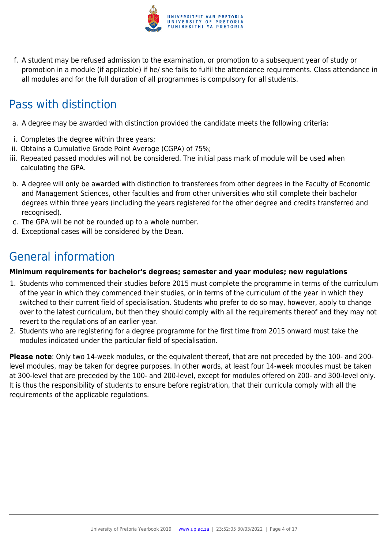

f. A student may be refused admission to the examination, or promotion to a subsequent year of study or promotion in a module (if applicable) if he/ she fails to fulfil the attendance requirements. Class attendance in all modules and for the full duration of all programmes is compulsory for all students.

## Pass with distinction

- a. A degree may be awarded with distinction provided the candidate meets the following criteria:
- i. Completes the degree within three years;
- ii. Obtains a Cumulative Grade Point Average (CGPA) of 75%;
- iii. Repeated passed modules will not be considered. The initial pass mark of module will be used when calculating the GPA.
- b. A degree will only be awarded with distinction to transferees from other degrees in the Faculty of Economic and Management Sciences, other faculties and from other universities who still complete their bachelor degrees within three years (including the years registered for the other degree and credits transferred and recognised).
- c. The GPA will be not be rounded up to a whole number.
- d. Exceptional cases will be considered by the Dean.

## General information

#### **Minimum requirements for bachelor's degrees; semester and year modules; new regulations**

- 1. Students who commenced their studies before 2015 must complete the programme in terms of the curriculum of the year in which they commenced their studies, or in terms of the curriculum of the year in which they switched to their current field of specialisation. Students who prefer to do so may, however, apply to change over to the latest curriculum, but then they should comply with all the requirements thereof and they may not revert to the regulations of an earlier year.
- 2. Students who are registering for a degree programme for the first time from 2015 onward must take the modules indicated under the particular field of specialisation.

**Please note**: Only two 14-week modules, or the equivalent thereof, that are not preceded by the 100- and 200 level modules, may be taken for degree purposes. In other words, at least four 14-week modules must be taken at 300-level that are preceded by the 100- and 200-level, except for modules offered on 200- and 300-level only. It is thus the responsibility of students to ensure before registration, that their curricula comply with all the requirements of the applicable regulations.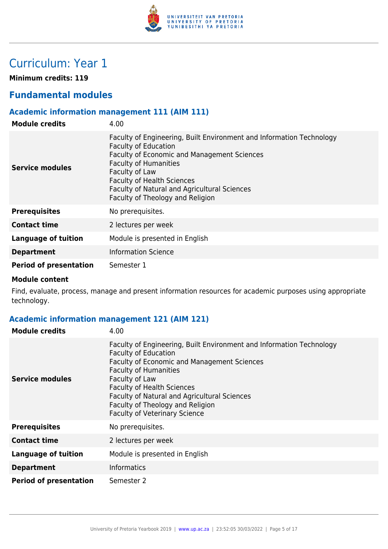

## Curriculum: Year 1

**Minimum credits: 119**

## **Fundamental modules**

## **Academic information management 111 (AIM 111)**

| <b>Module credits</b>         | 4.00                                                                                                                                                                                                                                                                                                                          |
|-------------------------------|-------------------------------------------------------------------------------------------------------------------------------------------------------------------------------------------------------------------------------------------------------------------------------------------------------------------------------|
| Service modules               | Faculty of Engineering, Built Environment and Information Technology<br><b>Faculty of Education</b><br>Faculty of Economic and Management Sciences<br><b>Faculty of Humanities</b><br>Faculty of Law<br><b>Faculty of Health Sciences</b><br>Faculty of Natural and Agricultural Sciences<br>Faculty of Theology and Religion |
| <b>Prerequisites</b>          | No prerequisites.                                                                                                                                                                                                                                                                                                             |
| <b>Contact time</b>           | 2 lectures per week                                                                                                                                                                                                                                                                                                           |
| Language of tuition           | Module is presented in English                                                                                                                                                                                                                                                                                                |
| <b>Department</b>             | <b>Information Science</b>                                                                                                                                                                                                                                                                                                    |
| <b>Period of presentation</b> | Semester 1                                                                                                                                                                                                                                                                                                                    |

#### **Module content**

Find, evaluate, process, manage and present information resources for academic purposes using appropriate technology.

## **Academic information management 121 (AIM 121)**

| <b>Module credits</b>         | 4.00                                                                                                                                                                                                                                                                                                                                                                  |
|-------------------------------|-----------------------------------------------------------------------------------------------------------------------------------------------------------------------------------------------------------------------------------------------------------------------------------------------------------------------------------------------------------------------|
| Service modules               | Faculty of Engineering, Built Environment and Information Technology<br><b>Faculty of Education</b><br>Faculty of Economic and Management Sciences<br><b>Faculty of Humanities</b><br>Faculty of Law<br><b>Faculty of Health Sciences</b><br>Faculty of Natural and Agricultural Sciences<br>Faculty of Theology and Religion<br><b>Faculty of Veterinary Science</b> |
| <b>Prerequisites</b>          | No prerequisites.                                                                                                                                                                                                                                                                                                                                                     |
| <b>Contact time</b>           | 2 lectures per week                                                                                                                                                                                                                                                                                                                                                   |
| <b>Language of tuition</b>    | Module is presented in English                                                                                                                                                                                                                                                                                                                                        |
| <b>Department</b>             | <b>Informatics</b>                                                                                                                                                                                                                                                                                                                                                    |
| <b>Period of presentation</b> | Semester 2                                                                                                                                                                                                                                                                                                                                                            |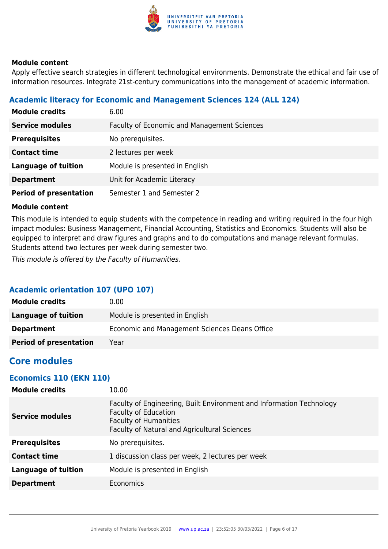

Apply effective search strategies in different technological environments. Demonstrate the ethical and fair use of information resources. Integrate 21st-century communications into the management of academic information.

## **Academic literacy for Economic and Management Sciences 124 (ALL 124)**

| <b>Module credits</b>         | 6.00                                               |
|-------------------------------|----------------------------------------------------|
| <b>Service modules</b>        | <b>Faculty of Economic and Management Sciences</b> |
| <b>Prerequisites</b>          | No prerequisites.                                  |
| <b>Contact time</b>           | 2 lectures per week                                |
| <b>Language of tuition</b>    | Module is presented in English                     |
| <b>Department</b>             | Unit for Academic Literacy                         |
| <b>Period of presentation</b> | Semester 1 and Semester 2                          |

#### **Module content**

This module is intended to equip students with the competence in reading and writing required in the four high impact modules: Business Management, Financial Accounting, Statistics and Economics. Students will also be equipped to interpret and draw figures and graphs and to do computations and manage relevant formulas. Students attend two lectures per week during semester two.

This module is offered by the Faculty of Humanities.

## **Academic orientation 107 (UPO 107)**

| <b>Module credits</b>         | 0.00                                          |
|-------------------------------|-----------------------------------------------|
| Language of tuition           | Module is presented in English                |
| <b>Department</b>             | Economic and Management Sciences Deans Office |
| <b>Period of presentation</b> | Year                                          |

## **Core modules**

### **Economics 110 (EKN 110)**

| <b>Module credits</b>      | 10.00                                                                                                                                                                                      |
|----------------------------|--------------------------------------------------------------------------------------------------------------------------------------------------------------------------------------------|
| <b>Service modules</b>     | Faculty of Engineering, Built Environment and Information Technology<br><b>Faculty of Education</b><br><b>Faculty of Humanities</b><br><b>Faculty of Natural and Agricultural Sciences</b> |
| <b>Prerequisites</b>       | No prerequisites.                                                                                                                                                                          |
| <b>Contact time</b>        | 1 discussion class per week, 2 lectures per week                                                                                                                                           |
| <b>Language of tuition</b> | Module is presented in English                                                                                                                                                             |
| <b>Department</b>          | <b>Economics</b>                                                                                                                                                                           |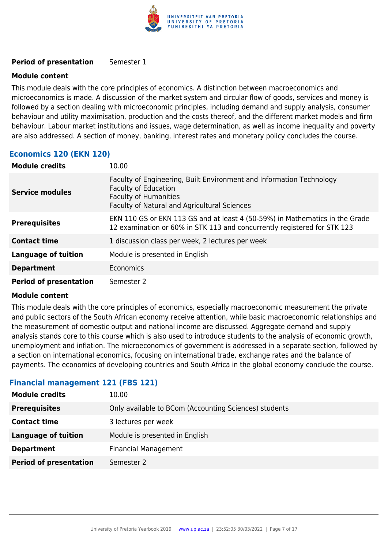

#### **Period of presentation** Semester 1

#### **Module content**

This module deals with the core principles of economics. A distinction between macroeconomics and microeconomics is made. A discussion of the market system and circular flow of goods, services and money is followed by a section dealing with microeconomic principles, including demand and supply analysis, consumer behaviour and utility maximisation, production and the costs thereof, and the different market models and firm behaviour. Labour market institutions and issues, wage determination, as well as income inequality and poverty are also addressed. A section of money, banking, interest rates and monetary policy concludes the course.

### **Economics 120 (EKN 120)**

| <b>Module credits</b>         | 10.00                                                                                                                                                                               |
|-------------------------------|-------------------------------------------------------------------------------------------------------------------------------------------------------------------------------------|
| <b>Service modules</b>        | Faculty of Engineering, Built Environment and Information Technology<br><b>Faculty of Education</b><br><b>Faculty of Humanities</b><br>Faculty of Natural and Agricultural Sciences |
| <b>Prerequisites</b>          | EKN 110 GS or EKN 113 GS and at least 4 (50-59%) in Mathematics in the Grade<br>12 examination or 60% in STK 113 and concurrently registered for STK 123                            |
| <b>Contact time</b>           | 1 discussion class per week, 2 lectures per week                                                                                                                                    |
| <b>Language of tuition</b>    | Module is presented in English                                                                                                                                                      |
| <b>Department</b>             | <b>Economics</b>                                                                                                                                                                    |
| <b>Period of presentation</b> | Semester 2                                                                                                                                                                          |

#### **Module content**

This module deals with the core principles of economics, especially macroeconomic measurement the private and public sectors of the South African economy receive attention, while basic macroeconomic relationships and the measurement of domestic output and national income are discussed. Aggregate demand and supply analysis stands core to this course which is also used to introduce students to the analysis of economic growth, unemployment and inflation. The microeconomics of government is addressed in a separate section, followed by a section on international economics, focusing on international trade, exchange rates and the balance of payments. The economics of developing countries and South Africa in the global economy conclude the course.

#### **Financial management 121 (FBS 121)**

| <b>Module credits</b>         | 10.00                                                 |
|-------------------------------|-------------------------------------------------------|
| <b>Prerequisites</b>          | Only available to BCom (Accounting Sciences) students |
| <b>Contact time</b>           | 3 lectures per week                                   |
| Language of tuition           | Module is presented in English                        |
| <b>Department</b>             | <b>Financial Management</b>                           |
| <b>Period of presentation</b> | Semester 2                                            |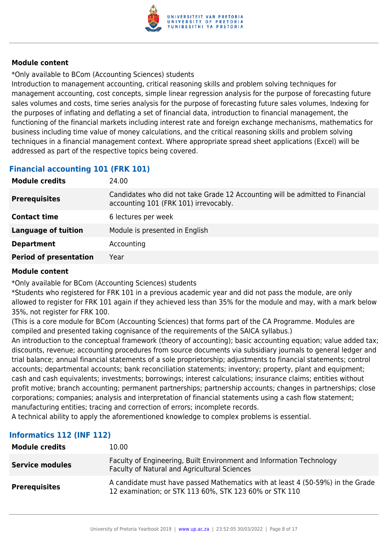

\*Only available to BCom (Accounting Sciences) students

Introduction to management accounting, critical reasoning skills and problem solving techniques for management accounting, cost concepts, simple linear regression analysis for the purpose of forecasting future sales volumes and costs, time series analysis for the purpose of forecasting future sales volumes, Indexing for the purposes of inflating and deflating a set of financial data, introduction to financial management, the functioning of the financial markets including interest rate and foreign exchange mechanisms, mathematics for business including time value of money calculations, and the critical reasoning skills and problem solving techniques in a financial management context. Where appropriate spread sheet applications (Excel) will be addressed as part of the respective topics being covered.

## **Financial accounting 101 (FRK 101)**

| <b>Module credits</b>         | 24.00                                                                                                                  |
|-------------------------------|------------------------------------------------------------------------------------------------------------------------|
| <b>Prerequisites</b>          | Candidates who did not take Grade 12 Accounting will be admitted to Financial<br>accounting 101 (FRK 101) irrevocably. |
| <b>Contact time</b>           | 6 lectures per week                                                                                                    |
| <b>Language of tuition</b>    | Module is presented in English                                                                                         |
| <b>Department</b>             | Accounting                                                                                                             |
| <b>Period of presentation</b> | Year                                                                                                                   |

#### **Module content**

\*Only available for BCom (Accounting Sciences) students

\*Students who registered for FRK 101 in a previous academic year and did not pass the module, are only allowed to register for FRK 101 again if they achieved less than 35% for the module and may, with a mark below 35%, not register for FRK 100.

(This is a core module for BCom (Accounting Sciences) that forms part of the CA Programme. Modules are compiled and presented taking cognisance of the requirements of the SAICA syllabus.)

An introduction to the conceptual framework (theory of accounting); basic accounting equation; value added tax; discounts, revenue; accounting procedures from source documents via subsidiary journals to general ledger and trial balance; annual financial statements of a sole proprietorship; adjustments to financial statements; control accounts; departmental accounts; bank reconciliation statements; inventory; property, plant and equipment; cash and cash equivalents; investments; borrowings; interest calculations; insurance claims; entities without profit motive; branch accounting; permanent partnerships; partnership accounts; changes in partnerships; close corporations; companies; analysis and interpretation of financial statements using a cash flow statement; manufacturing entities; tracing and correction of errors; incomplete records.

A technical ability to apply the aforementioned knowledge to complex problems is essential.

## **Informatics 112 (INF 112)**

| <b>Module credits</b>  | 10.00                                                                                                                                    |
|------------------------|------------------------------------------------------------------------------------------------------------------------------------------|
| <b>Service modules</b> | Faculty of Engineering, Built Environment and Information Technology<br><b>Faculty of Natural and Agricultural Sciences</b>              |
| <b>Prerequisites</b>   | A candidate must have passed Mathematics with at least 4 (50-59%) in the Grade<br>12 examination; or STK 113 60%, STK 123 60% or STK 110 |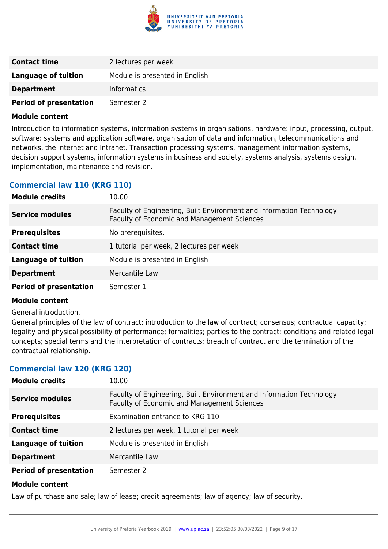

| <b>Contact time</b>           | 2 lectures per week            |
|-------------------------------|--------------------------------|
| Language of tuition           | Module is presented in English |
| <b>Department</b>             | <b>Informatics</b>             |
| <b>Period of presentation</b> | Semester 2                     |

Introduction to information systems, information systems in organisations, hardware: input, processing, output, software: systems and application software, organisation of data and information, telecommunications and networks, the Internet and Intranet. Transaction processing systems, management information systems, decision support systems, information systems in business and society, systems analysis, systems design, implementation, maintenance and revision.

## **Commercial law 110 (KRG 110)**

| <b>Module credits</b>         | 10.00                                                                                                               |
|-------------------------------|---------------------------------------------------------------------------------------------------------------------|
| <b>Service modules</b>        | Faculty of Engineering, Built Environment and Information Technology<br>Faculty of Economic and Management Sciences |
| <b>Prerequisites</b>          | No prerequisites.                                                                                                   |
| <b>Contact time</b>           | 1 tutorial per week, 2 lectures per week                                                                            |
| <b>Language of tuition</b>    | Module is presented in English                                                                                      |
| <b>Department</b>             | Mercantile Law                                                                                                      |
| <b>Period of presentation</b> | Semester 1                                                                                                          |

#### **Module content**

#### General introduction.

General principles of the law of contract: introduction to the law of contract; consensus; contractual capacity; legality and physical possibility of performance; formalities; parties to the contract; conditions and related legal concepts; special terms and the interpretation of contracts; breach of contract and the termination of the contractual relationship.

#### **Commercial law 120 (KRG 120)**

| <b>Module credits</b>         | 10.00                                                                                                                      |
|-------------------------------|----------------------------------------------------------------------------------------------------------------------------|
| <b>Service modules</b>        | Faculty of Engineering, Built Environment and Information Technology<br><b>Faculty of Economic and Management Sciences</b> |
| <b>Prerequisites</b>          | Examination entrance to KRG 110                                                                                            |
| <b>Contact time</b>           | 2 lectures per week, 1 tutorial per week                                                                                   |
| <b>Language of tuition</b>    | Module is presented in English                                                                                             |
| <b>Department</b>             | Mercantile Law                                                                                                             |
| <b>Period of presentation</b> | Semester 2                                                                                                                 |
|                               |                                                                                                                            |

#### **Module content**

Law of purchase and sale; law of lease; credit agreements; law of agency; law of security.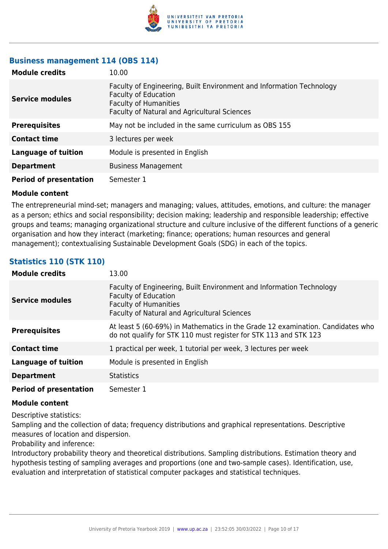

#### **Business management 114 (OBS 114)**

| <b>Module credits</b>         | 10.00                                                                                                                                                                               |
|-------------------------------|-------------------------------------------------------------------------------------------------------------------------------------------------------------------------------------|
| <b>Service modules</b>        | Faculty of Engineering, Built Environment and Information Technology<br><b>Faculty of Education</b><br><b>Faculty of Humanities</b><br>Faculty of Natural and Agricultural Sciences |
| <b>Prerequisites</b>          | May not be included in the same curriculum as OBS 155                                                                                                                               |
| <b>Contact time</b>           | 3 lectures per week                                                                                                                                                                 |
| <b>Language of tuition</b>    | Module is presented in English                                                                                                                                                      |
| <b>Department</b>             | <b>Business Management</b>                                                                                                                                                          |
| <b>Period of presentation</b> | Semester 1                                                                                                                                                                          |

#### **Module content**

The entrepreneurial mind-set; managers and managing; values, attitudes, emotions, and culture: the manager as a person; ethics and social responsibility; decision making; leadership and responsible leadership; effective groups and teams; managing organizational structure and culture inclusive of the different functions of a generic organisation and how they interact (marketing; finance; operations; human resources and general management); contextualising Sustainable Development Goals (SDG) in each of the topics.

## **Statistics 110 (STK 110)**

| <b>Module credits</b>         | 13.00                                                                                                                                                                               |
|-------------------------------|-------------------------------------------------------------------------------------------------------------------------------------------------------------------------------------|
| <b>Service modules</b>        | Faculty of Engineering, Built Environment and Information Technology<br><b>Faculty of Education</b><br><b>Faculty of Humanities</b><br>Faculty of Natural and Agricultural Sciences |
| <b>Prerequisites</b>          | At least 5 (60-69%) in Mathematics in the Grade 12 examination. Candidates who<br>do not qualify for STK 110 must register for STK 113 and STK 123                                  |
| <b>Contact time</b>           | 1 practical per week, 1 tutorial per week, 3 lectures per week                                                                                                                      |
| <b>Language of tuition</b>    | Module is presented in English                                                                                                                                                      |
| <b>Department</b>             | <b>Statistics</b>                                                                                                                                                                   |
| <b>Period of presentation</b> | Semester 1                                                                                                                                                                          |

#### **Module content**

Descriptive statistics:

Sampling and the collection of data; frequency distributions and graphical representations. Descriptive measures of location and dispersion.

Probability and inference:

Introductory probability theory and theoretical distributions. Sampling distributions. Estimation theory and hypothesis testing of sampling averages and proportions (one and two-sample cases). Identification, use, evaluation and interpretation of statistical computer packages and statistical techniques.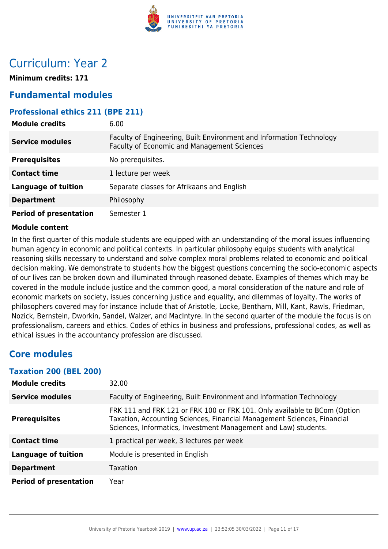

## Curriculum: Year 2

**Minimum credits: 171**

## **Fundamental modules**

### **Professional ethics 211 (BPE 211)**

| <b>Module credits</b>         | 6.00                                                                                                                       |
|-------------------------------|----------------------------------------------------------------------------------------------------------------------------|
| <b>Service modules</b>        | Faculty of Engineering, Built Environment and Information Technology<br><b>Faculty of Economic and Management Sciences</b> |
| <b>Prerequisites</b>          | No prerequisites.                                                                                                          |
| <b>Contact time</b>           | 1 lecture per week                                                                                                         |
| <b>Language of tuition</b>    | Separate classes for Afrikaans and English                                                                                 |
| <b>Department</b>             | Philosophy                                                                                                                 |
| <b>Period of presentation</b> | Semester 1                                                                                                                 |

#### **Module content**

In the first quarter of this module students are equipped with an understanding of the moral issues influencing human agency in economic and political contexts. In particular philosophy equips students with analytical reasoning skills necessary to understand and solve complex moral problems related to economic and political decision making. We demonstrate to students how the biggest questions concerning the socio-economic aspects of our lives can be broken down and illuminated through reasoned debate. Examples of themes which may be covered in the module include justice and the common good, a moral consideration of the nature and role of economic markets on society, issues concerning justice and equality, and dilemmas of loyalty. The works of philosophers covered may for instance include that of Aristotle, Locke, Bentham, Mill, Kant, Rawls, Friedman, Nozick, Bernstein, Dworkin, Sandel, Walzer, and MacIntyre. In the second quarter of the module the focus is on professionalism, careers and ethics. Codes of ethics in business and professions, professional codes, as well as ethical issues in the accountancy profession are discussed.

## **Core modules**

#### **Taxation 200 (BEL 200)**

| <b>Module credits</b>         | 32.00                                                                                                                                                                                                                   |
|-------------------------------|-------------------------------------------------------------------------------------------------------------------------------------------------------------------------------------------------------------------------|
| <b>Service modules</b>        | Faculty of Engineering, Built Environment and Information Technology                                                                                                                                                    |
| <b>Prerequisites</b>          | FRK 111 and FRK 121 or FRK 100 or FRK 101. Only available to BCom (Option<br>Taxation, Accounting Sciences, Financial Management Sciences, Financial<br>Sciences, Informatics, Investment Management and Law) students. |
| <b>Contact time</b>           | 1 practical per week, 3 lectures per week                                                                                                                                                                               |
| <b>Language of tuition</b>    | Module is presented in English                                                                                                                                                                                          |
| <b>Department</b>             | <b>Taxation</b>                                                                                                                                                                                                         |
| <b>Period of presentation</b> | Year                                                                                                                                                                                                                    |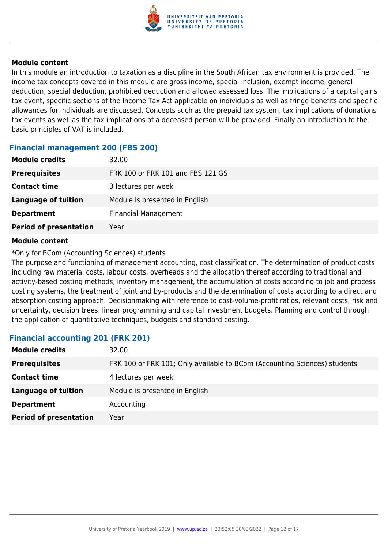

In this module an introduction to taxation as a discipline in the South African tax environment is provided. The income tax concepts covered in this module are gross income, special inclusion, exempt income, general deduction, special deduction, prohibited deduction and allowed assessed loss. The implications of a capital gains tax event, specific sections of the Income Tax Act applicable on individuals as well as fringe benefits and specific allowances for individuals are discussed. Concepts such as the prepaid tax system, tax implications of donations tax events as well as the tax implications of a deceased person will be provided. Finally an introduction to the basic principles of VAT is included.

#### **Financial management 200 (FBS 200)**

| <b>Module credits</b>         | 32.00                             |
|-------------------------------|-----------------------------------|
| <b>Prerequisites</b>          | FRK 100 or FRK 101 and FBS 121 GS |
| <b>Contact time</b>           | 3 lectures per week               |
| Language of tuition           | Module is presented in English    |
| <b>Department</b>             | <b>Financial Management</b>       |
| <b>Period of presentation</b> | Year                              |

#### **Module content**

#### \*Only for BCom (Accounting Sciences) students

The purpose and functioning of management accounting, cost classification. The determination of product costs including raw material costs, labour costs, overheads and the allocation thereof according to traditional and activity-based costing methods, inventory management, the accumulation of costs according to job and process costing systems, the treatment of joint and by-products and the determination of costs according to a direct and absorption costing approach. Decisionmaking with reference to cost-volume-profit ratios, relevant costs, risk and uncertainty, decision trees, linear programming and capital investment budgets. Planning and control through the application of quantitative techniques, budgets and standard costing.

### **Financial accounting 201 (FRK 201)**

| <b>Module credits</b>         | 32.00                                                                     |
|-------------------------------|---------------------------------------------------------------------------|
| <b>Prerequisites</b>          | FRK 100 or FRK 101; Only available to BCom (Accounting Sciences) students |
| <b>Contact time</b>           | 4 lectures per week                                                       |
| <b>Language of tuition</b>    | Module is presented in English                                            |
| <b>Department</b>             | Accounting                                                                |
| <b>Period of presentation</b> | Year                                                                      |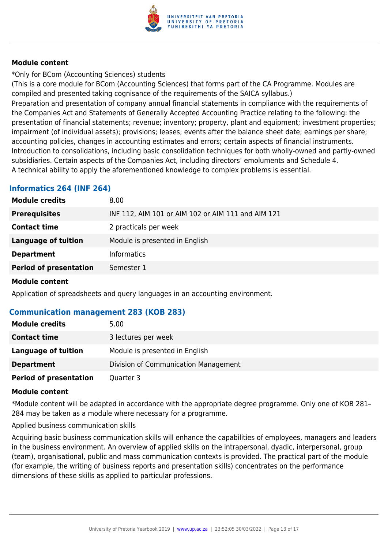

\*Only for BCom (Accounting Sciences) students

(This is a core module for BCom (Accounting Sciences) that forms part of the CA Programme. Modules are compiled and presented taking cognisance of the requirements of the SAICA syllabus.)

Preparation and presentation of company annual financial statements in compliance with the requirements of the Companies Act and Statements of Generally Accepted Accounting Practice relating to the following: the presentation of financial statements; revenue; inventory; property, plant and equipment; investment properties; impairment (of individual assets); provisions; leases; events after the balance sheet date; earnings per share; accounting policies, changes in accounting estimates and errors; certain aspects of financial instruments. Introduction to consolidations, including basic consolidation techniques for both wholly-owned and partly-owned subsidiaries. Certain aspects of the Companies Act, including directors' emoluments and Schedule 4. A technical ability to apply the aforementioned knowledge to complex problems is essential.

## **Informatics 264 (INF 264)**

| <b>Module credits</b>         | 8.00                                               |
|-------------------------------|----------------------------------------------------|
| <b>Prerequisites</b>          | INF 112, AIM 101 or AIM 102 or AIM 111 and AIM 121 |
| <b>Contact time</b>           | 2 practicals per week                              |
| <b>Language of tuition</b>    | Module is presented in English                     |
| <b>Department</b>             | <b>Informatics</b>                                 |
| <b>Period of presentation</b> | Semester 1                                         |
|                               |                                                    |

#### **Module content**

Application of spreadsheets and query languages in an accounting environment.

### **Communication management 283 (KOB 283)**

| <b>Module credits</b>         | 5.00                                 |
|-------------------------------|--------------------------------------|
| <b>Contact time</b>           | 3 lectures per week                  |
| Language of tuition           | Module is presented in English       |
| <b>Department</b>             | Division of Communication Management |
| <b>Period of presentation</b> | Quarter 3                            |

#### **Module content**

\*Module content will be adapted in accordance with the appropriate degree programme. Only one of KOB 281– 284 may be taken as a module where necessary for a programme.

Applied business communication skills

Acquiring basic business communication skills will enhance the capabilities of employees, managers and leaders in the business environment. An overview of applied skills on the intrapersonal, dyadic, interpersonal, group (team), organisational, public and mass communication contexts is provided. The practical part of the module (for example, the writing of business reports and presentation skills) concentrates on the performance dimensions of these skills as applied to particular professions.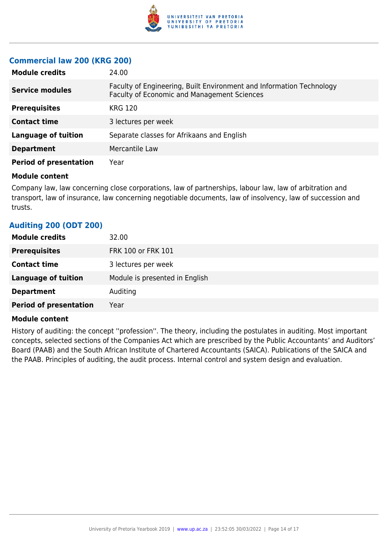

### **Commercial law 200 (KRG 200)**

| <b>Module credits</b>         | 24.00                                                                                                               |
|-------------------------------|---------------------------------------------------------------------------------------------------------------------|
| <b>Service modules</b>        | Faculty of Engineering, Built Environment and Information Technology<br>Faculty of Economic and Management Sciences |
| <b>Prerequisites</b>          | <b>KRG 120</b>                                                                                                      |
| <b>Contact time</b>           | 3 lectures per week                                                                                                 |
| <b>Language of tuition</b>    | Separate classes for Afrikaans and English                                                                          |
| <b>Department</b>             | Mercantile Law                                                                                                      |
| <b>Period of presentation</b> | Year                                                                                                                |

#### **Module content**

Company law, law concerning close corporations, law of partnerships, labour law, law of arbitration and transport, law of insurance, law concerning negotiable documents, law of insolvency, law of succession and trusts.

## **Auditing 200 (ODT 200) Module credits** 32.00 **Prerequisites** FRK 100 or FRK 101 **Contact time** 3 lectures per week **Language of tuition** Module is presented in English **Department** Auditing **Period of presentation** Year

## **Module content**

History of auditing: the concept ''profession''. The theory, including the postulates in auditing. Most important concepts, selected sections of the Companies Act which are prescribed by the Public Accountants' and Auditors' Board (PAAB) and the South African Institute of Chartered Accountants (SAICA). Publications of the SAICA and the PAAB. Principles of auditing, the audit process. Internal control and system design and evaluation.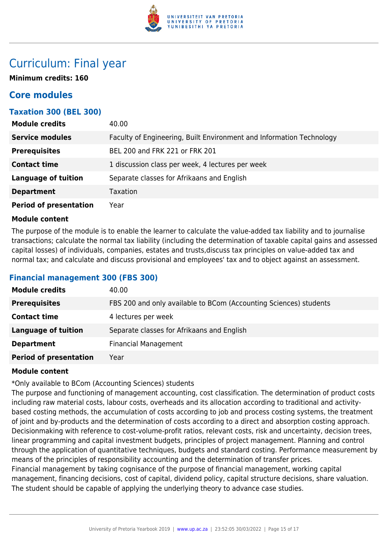

## Curriculum: Final year

**Minimum credits: 160**

## **Core modules**

### **Taxation 300 (BEL 300)**

| <b>Module credits</b>         | 40.00                                                                |
|-------------------------------|----------------------------------------------------------------------|
| <b>Service modules</b>        | Faculty of Engineering, Built Environment and Information Technology |
| <b>Prerequisites</b>          | BEL 200 and FRK 221 or FRK 201                                       |
| <b>Contact time</b>           | 1 discussion class per week, 4 lectures per week                     |
| <b>Language of tuition</b>    | Separate classes for Afrikaans and English                           |
| <b>Department</b>             | <b>Taxation</b>                                                      |
| <b>Period of presentation</b> | Year                                                                 |

#### **Module content**

The purpose of the module is to enable the learner to calculate the value-added tax liability and to journalise transactions; calculate the normal tax liability (including the determination of taxable capital gains and assessed capital losses) of individuals, companies, estates and trusts,discuss tax principles on value-added tax and normal tax; and calculate and discuss provisional and employees' tax and to object against an assessment.

### **Financial management 300 (FBS 300)**

| <b>Module credits</b>         | 40.00                                                             |
|-------------------------------|-------------------------------------------------------------------|
| <b>Prerequisites</b>          | FBS 200 and only available to BCom (Accounting Sciences) students |
| <b>Contact time</b>           | 4 lectures per week                                               |
| Language of tuition           | Separate classes for Afrikaans and English                        |
| <b>Department</b>             | <b>Financial Management</b>                                       |
| <b>Period of presentation</b> | Year                                                              |

#### **Module content**

\*Only available to BCom (Accounting Sciences) students

The purpose and functioning of management accounting, cost classification. The determination of product costs including raw material costs, labour costs, overheads and its allocation according to traditional and activitybased costing methods, the accumulation of costs according to job and process costing systems, the treatment of joint and by-products and the determination of costs according to a direct and absorption costing approach. Decisionmaking with reference to cost-volume-profit ratios, relevant costs, risk and uncertainty, decision trees, linear programming and capital investment budgets, principles of project management. Planning and control through the application of quantitative techniques, budgets and standard costing. Performance measurement by means of the principles of responsibility accounting and the determination of transfer prices. Financial management by taking cognisance of the purpose of financial management, working capital management, financing decisions, cost of capital, dividend policy, capital structure decisions, share valuation. The student should be capable of applying the underlying theory to advance case studies.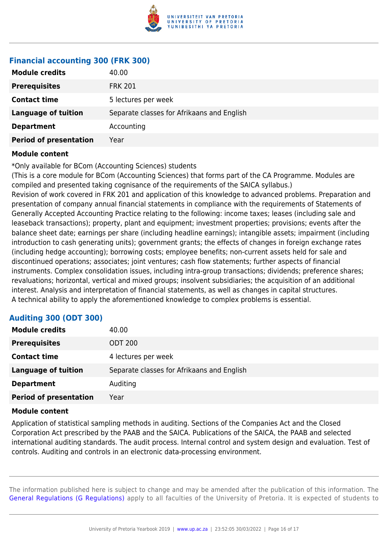

#### **Financial accounting 300 (FRK 300)**

| <b>Module credits</b>         | 40.00                                      |
|-------------------------------|--------------------------------------------|
| <b>Prerequisites</b>          | <b>FRK 201</b>                             |
| <b>Contact time</b>           | 5 lectures per week                        |
| <b>Language of tuition</b>    | Separate classes for Afrikaans and English |
| <b>Department</b>             | Accounting                                 |
| <b>Period of presentation</b> | Year                                       |

#### **Module content**

\*Only available for BCom (Accounting Sciences) students

(This is a core module for BCom (Accounting Sciences) that forms part of the CA Programme. Modules are compiled and presented taking cognisance of the requirements of the SAICA syllabus.) Revision of work covered in FRK 201 and application of this knowledge to advanced problems. Preparation and presentation of company annual financial statements in compliance with the requirements of Statements of Generally Accepted Accounting Practice relating to the following: income taxes; leases (including sale and leaseback transactions); property, plant and equipment; investment properties; provisions; events after the balance sheet date; earnings per share (including headline earnings); intangible assets; impairment (including introduction to cash generating units); government grants; the effects of changes in foreign exchange rates (including hedge accounting); borrowing costs; employee benefits; non-current assets held for sale and discontinued operations; associates; joint ventures; cash flow statements; further aspects of financial instruments. Complex consolidation issues, including intra-group transactions; dividends; preference shares; revaluations; horizontal, vertical and mixed groups; insolvent subsidiaries; the acquisition of an additional interest. Analysis and interpretation of financial statements, as well as changes in capital structures. A technical ability to apply the aforementioned knowledge to complex problems is essential.

### **Auditing 300 (ODT 300)**

| <b>Module credits</b>         | 40.00                                      |
|-------------------------------|--------------------------------------------|
| <b>Prerequisites</b>          | ODT 200                                    |
| <b>Contact time</b>           | 4 lectures per week                        |
| <b>Language of tuition</b>    | Separate classes for Afrikaans and English |
| <b>Department</b>             | Auditing                                   |
| <b>Period of presentation</b> | Year                                       |

#### **Module content**

Application of statistical sampling methods in auditing. Sections of the Companies Act and the Closed Corporation Act prescribed by the PAAB and the SAICA. Publications of the SAICA, the PAAB and selected international auditing standards. The audit process. Internal control and system design and evaluation. Test of controls. Auditing and controls in an electronic data-processing environment.

The information published here is subject to change and may be amended after the publication of this information. The [General Regulations \(G Regulations\)](https://www.up.ac.za/yearbooks/2019/rules/view/REG) apply to all faculties of the University of Pretoria. It is expected of students to